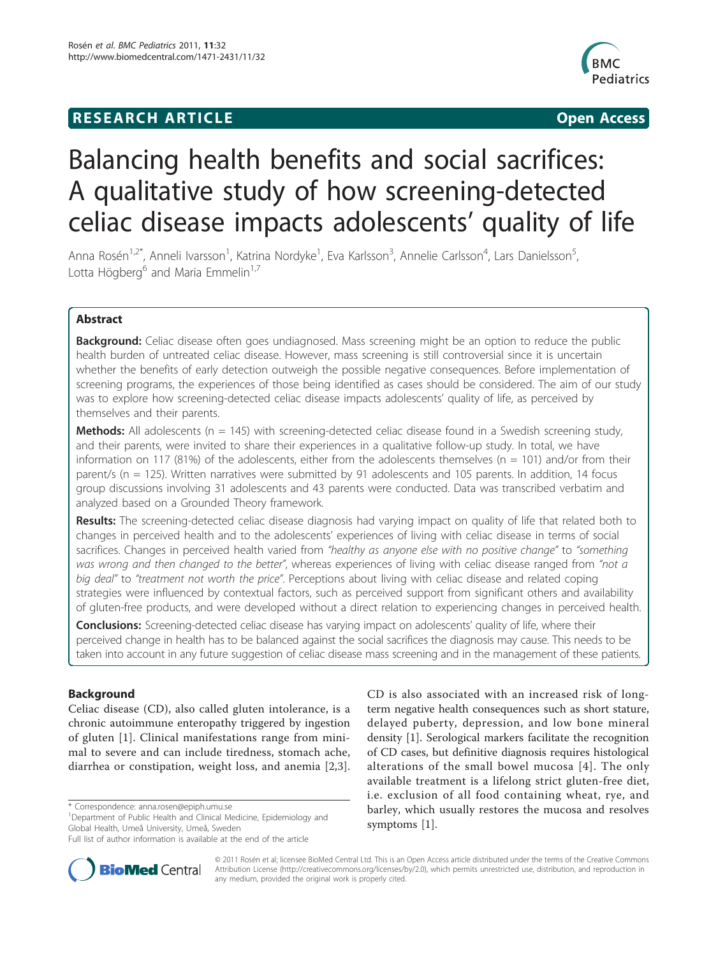## **RESEARCH ARTICLE Example 2018 12:00 Open Access**



# Balancing health benefits and social sacrifices: A qualitative study of how screening-detected celiac disease impacts adolescents' quality of life

Anna Rosén<sup>1,2\*</sup>, Anneli Ivarsson<sup>1</sup>, Katrina Nordyke<sup>1</sup>, Eva Karlsson<sup>3</sup>, Annelie Carlsson<sup>4</sup>, Lars Danielsson<sup>5</sup> , Lotta Högberg<sup>6</sup> and Maria Emmelin<sup>1,7</sup>

## Abstract

**Background:** Celiac disease often goes undiagnosed. Mass screening might be an option to reduce the public health burden of untreated celiac disease. However, mass screening is still controversial since it is uncertain whether the benefits of early detection outweigh the possible negative consequences. Before implementation of screening programs, the experiences of those being identified as cases should be considered. The aim of our study was to explore how screening-detected celiac disease impacts adolescents' quality of life, as perceived by themselves and their parents.

**Methods:** All adolescents ( $n = 145$ ) with screening-detected celiac disease found in a Swedish screening study, and their parents, were invited to share their experiences in a qualitative follow-up study. In total, we have information on 117 (81%) of the adolescents, either from the adolescents themselves ( $n = 101$ ) and/or from their parent/s (n = 125). Written narratives were submitted by 91 adolescents and 105 parents. In addition, 14 focus group discussions involving 31 adolescents and 43 parents were conducted. Data was transcribed verbatim and analyzed based on a Grounded Theory framework.

Results: The screening-detected celiac disease diagnosis had varying impact on quality of life that related both to changes in perceived health and to the adolescents' experiences of living with celiac disease in terms of social sacrifices. Changes in perceived health varied from "healthy as anyone else with no positive change" to "something was wrong and then changed to the better", whereas experiences of living with celiac disease ranged from "not a big deal" to "treatment not worth the price". Perceptions about living with celiac disease and related coping strategies were influenced by contextual factors, such as perceived support from significant others and availability of gluten-free products, and were developed without a direct relation to experiencing changes in perceived health.

**Conclusions:** Screening-detected celiac disease has varying impact on adolescents' quality of life, where their perceived change in health has to be balanced against the social sacrifices the diagnosis may cause. This needs to be taken into account in any future suggestion of celiac disease mass screening and in the management of these patients.

## Background

Celiac disease (CD), also called gluten intolerance, is a chronic autoimmune enteropathy triggered by ingestion of gluten [[1\]](#page-8-0). Clinical manifestations range from minimal to severe and can include tiredness, stomach ache, diarrhea or constipation, weight loss, and anemia [[2,3](#page-8-0)].

\* Correspondence: [anna.rosen@epiph.umu.se](mailto:anna.rosen@epiph.umu.se)

Full list of author information is available at the end of the article





© 2011 Rosén et al; licensee BioMed Central Ltd. This is an Open Access article distributed under the terms of the Creative Commons Attribution License [\(http://creativecommons.org/licenses/by/2.0](http://creativecommons.org/licenses/by/2.0)), which permits unrestricted use, distribution, and reproduction in any medium, provided the original work is properly cited.

<sup>&</sup>lt;sup>1</sup>Department of Public Health and Clinical Medicine, Epidemiology and Global Health, Umeå University, Umeå, Sweden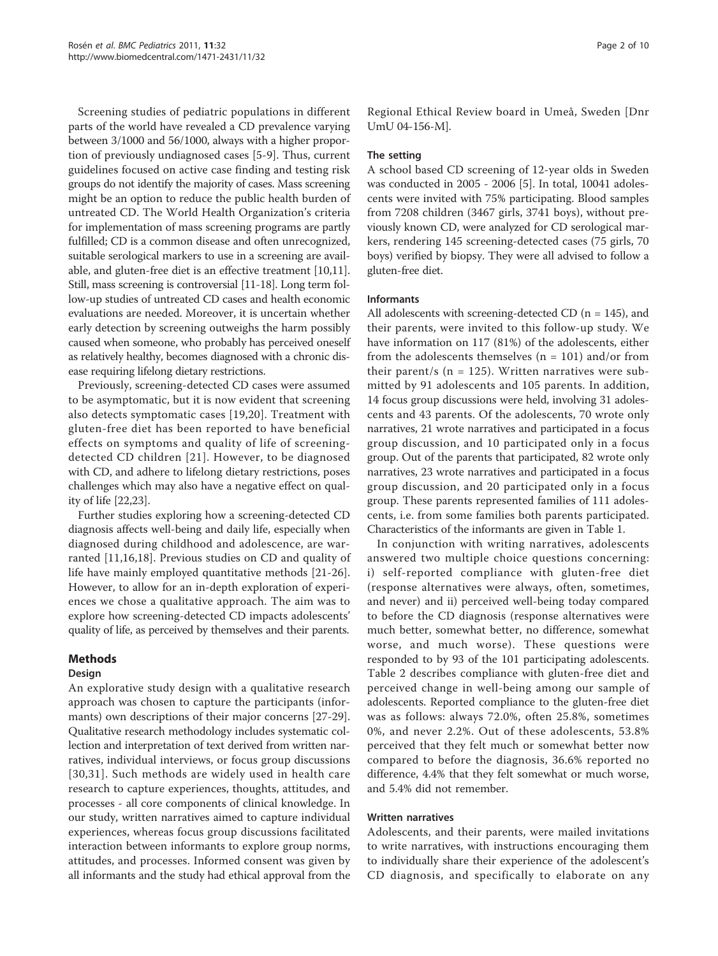Screening studies of pediatric populations in different parts of the world have revealed a CD prevalence varying between 3/1000 and 56/1000, always with a higher proportion of previously undiagnosed cases [[5-9](#page-8-0)]. Thus, current guidelines focused on active case finding and testing risk groups do not identify the majority of cases. Mass screening might be an option to reduce the public health burden of untreated CD. The World Health Organization's criteria for implementation of mass screening programs are partly fulfilled; CD is a common disease and often unrecognized, suitable serological markers to use in a screening are available, and gluten-free diet is an effective treatment [[10,11](#page-8-0)]. Still, mass screening is controversial [\[11](#page-8-0)-[18](#page-8-0)]. Long term follow-up studies of untreated CD cases and health economic evaluations are needed. Moreover, it is uncertain whether early detection by screening outweighs the harm possibly caused when someone, who probably has perceived oneself as relatively healthy, becomes diagnosed with a chronic disease requiring lifelong dietary restrictions.

Previously, screening-detected CD cases were assumed to be asymptomatic, but it is now evident that screening also detects symptomatic cases [\[19,20](#page-8-0)]. Treatment with gluten-free diet has been reported to have beneficial effects on symptoms and quality of life of screeningdetected CD children [\[21](#page-8-0)]. However, to be diagnosed with CD, and adhere to lifelong dietary restrictions, poses challenges which may also have a negative effect on quality of life [[22,23](#page-8-0)].

Further studies exploring how a screening-detected CD diagnosis affects well-being and daily life, especially when diagnosed during childhood and adolescence, are warranted [[11,16,18\]](#page-8-0). Previous studies on CD and quality of life have mainly employed quantitative methods [[21-26](#page-8-0)]. However, to allow for an in-depth exploration of experiences we chose a qualitative approach. The aim was to explore how screening-detected CD impacts adolescents' quality of life, as perceived by themselves and their parents.

## Methods

## Design

An explorative study design with a qualitative research approach was chosen to capture the participants (informants) own descriptions of their major concerns [\[27-29](#page-8-0)]. Qualitative research methodology includes systematic collection and interpretation of text derived from written narratives, individual interviews, or focus group discussions [[30,31\]](#page-8-0). Such methods are widely used in health care research to capture experiences, thoughts, attitudes, and processes - all core components of clinical knowledge. In our study, written narratives aimed to capture individual experiences, whereas focus group discussions facilitated interaction between informants to explore group norms, attitudes, and processes. Informed consent was given by all informants and the study had ethical approval from the

Regional Ethical Review board in Umeå, Sweden [Dnr UmU 04-156-M].

#### The setting

A school based CD screening of 12-year olds in Sweden was conducted in 2005 - 2006 [[5\]](#page-8-0). In total, 10041 adolescents were invited with 75% participating. Blood samples from 7208 children (3467 girls, 3741 boys), without previously known CD, were analyzed for CD serological markers, rendering 145 screening-detected cases (75 girls, 70 boys) verified by biopsy. They were all advised to follow a gluten-free diet.

## Informants

All adolescents with screening-detected CD ( $n = 145$ ), and their parents, were invited to this follow-up study. We have information on 117 (81%) of the adolescents, either from the adolescents themselves  $(n = 101)$  and/or from their parent/s ( $n = 125$ ). Written narratives were submitted by 91 adolescents and 105 parents. In addition, 14 focus group discussions were held, involving 31 adolescents and 43 parents. Of the adolescents, 70 wrote only narratives, 21 wrote narratives and participated in a focus group discussion, and 10 participated only in a focus group. Out of the parents that participated, 82 wrote only narratives, 23 wrote narratives and participated in a focus group discussion, and 20 participated only in a focus group. These parents represented families of 111 adolescents, i.e. from some families both parents participated. Characteristics of the informants are given in Table [1.](#page-2-0)

In conjunction with writing narratives, adolescents answered two multiple choice questions concerning: i) self-reported compliance with gluten-free diet (response alternatives were always, often, sometimes, and never) and ii) perceived well-being today compared to before the CD diagnosis (response alternatives were much better, somewhat better, no difference, somewhat worse, and much worse). These questions were responded to by 93 of the 101 participating adolescents. Table [2](#page-2-0) describes compliance with gluten-free diet and perceived change in well-being among our sample of adolescents. Reported compliance to the gluten-free diet was as follows: always 72.0%, often 25.8%, sometimes 0%, and never 2.2%. Out of these adolescents, 53.8% perceived that they felt much or somewhat better now compared to before the diagnosis, 36.6% reported no difference, 4.4% that they felt somewhat or much worse, and 5.4% did not remember.

## Written narratives

Adolescents, and their parents, were mailed invitations to write narratives, with instructions encouraging them to individually share their experience of the adolescent's CD diagnosis, and specifically to elaborate on any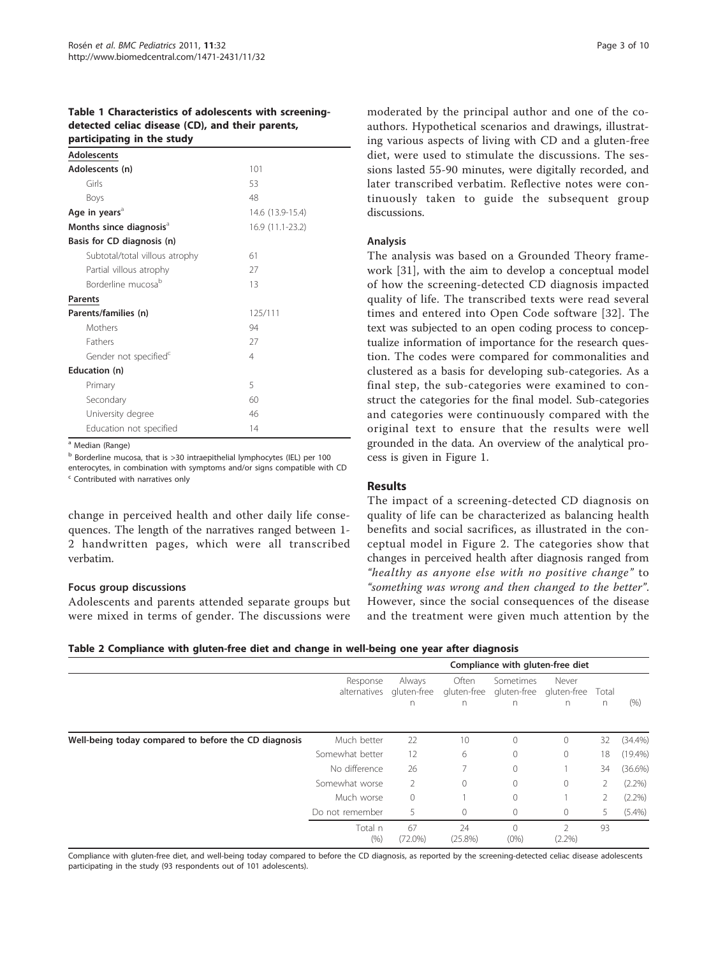#### <span id="page-2-0"></span>Table 1 Characteristics of adolescents with screeningdetected celiac disease (CD), and their parents, participating in the study

| <b>Adolescents</b>                  |                  |  |
|-------------------------------------|------------------|--|
| Adolescents (n)<br>101              |                  |  |
| Girls                               | 53               |  |
| Boys                                | 48               |  |
| Age in years <sup>a</sup>           | 14.6 (13.9-15.4) |  |
| Months since diagnosis <sup>a</sup> | 16.9 (11.1-23.2) |  |
| Basis for CD diagnosis (n)          |                  |  |
| Subtotal/total villous atrophy      | 61               |  |
| Partial villous atrophy             | 27               |  |
| Borderline mucosa <sup>b</sup>      | 13               |  |
| <b>Parents</b>                      |                  |  |
| Parents/families (n)                | 125/111          |  |
| <b>Mothers</b>                      | 94               |  |
| <b>Fathers</b>                      | 27               |  |
| Gender not specified <sup>c</sup>   | $\overline{4}$   |  |
| Education (n)                       |                  |  |
| Primary                             | 5                |  |
| Secondary                           | 60               |  |
| University degree                   | 46               |  |
| Education not specified             | 14               |  |

a Median (Range)

 $<sup>b</sup>$  Borderline mucosa, that is >30 intraepithelial lymphocytes (IEL) per 100</sup> enterocytes, in combination with symptoms and/or signs compatible with CD

<sup>c</sup> Contributed with narratives only

change in perceived health and other daily life consequences. The length of the narratives ranged between 1- 2 handwritten pages, which were all transcribed verbatim.

#### Focus group discussions

Adolescents and parents attended separate groups but were mixed in terms of gender. The discussions were Page 3 of 10

moderated by the principal author and one of the coauthors. Hypothetical scenarios and drawings, illustrating various aspects of living with CD and a gluten-free diet, were used to stimulate the discussions. The sessions lasted 55-90 minutes, were digitally recorded, and later transcribed verbatim. Reflective notes were continuously taken to guide the subsequent group discussions.

#### Analysis

The analysis was based on a Grounded Theory framework [\[31](#page-8-0)], with the aim to develop a conceptual model of how the screening-detected CD diagnosis impacted quality of life. The transcribed texts were read several times and entered into Open Code software [\[32\]](#page-8-0). The text was subjected to an open coding process to conceptualize information of importance for the research question. The codes were compared for commonalities and clustered as a basis for developing sub-categories. As a final step, the sub-categories were examined to construct the categories for the final model. Sub-categories and categories were continuously compared with the original text to ensure that the results were well grounded in the data. An overview of the analytical process is given in Figure [1](#page-3-0).

## Results

The impact of a screening-detected CD diagnosis on quality of life can be characterized as balancing health benefits and social sacrifices, as illustrated in the conceptual model in Figure [2](#page-3-0). The categories show that changes in perceived health after diagnosis ranged from "healthy as anyone else with no positive change" to "something was wrong and then changed to the better". However, since the social consequences of the disease and the treatment were given much attention by the

|                                                      |                          | Compliance with gluten-free diet |                            |                               |                           |             |            |
|------------------------------------------------------|--------------------------|----------------------------------|----------------------------|-------------------------------|---------------------------|-------------|------------|
|                                                      | Response<br>alternatives | Always<br>gluten-free<br>n       | Often<br>gluten-free<br>n. | Sometimes<br>gluten-free<br>n | Never<br>gluten-free<br>n | Total<br>n. | (% )       |
| Well-being today compared to before the CD diagnosis | Much better              | 22                               | 10 <sup>°</sup>            | $\mathbf{0}$                  | 0                         | 32          | $(34.4\%)$ |
|                                                      | Somewhat better          | 12                               | 6                          | 0                             | 0                         | 18          | $(19.4\%)$ |
|                                                      | No difference            | 26                               | 7                          | $\mathbf{0}$                  |                           | 34          | (36.6%)    |
|                                                      | Somewhat worse           | 2                                | 0                          | $\mathbf{0}$                  | 0                         |             | $(2.2\%)$  |
|                                                      | Much worse               | $\circ$                          |                            | $\mathbf{0}$                  |                           |             | $(2.2\%)$  |
|                                                      | Do not remember          | 5                                | 0                          | $\circ$                       | 0                         | 5           | $(5.4\%)$  |
|                                                      | Total n<br>(% )          | 67<br>$(72.0\%)$                 | 24<br>$(25.8\%)$           | $\Omega$<br>$(0\%)$           | $(2.2\%)$                 | 93          |            |

Compliance with gluten-free diet, and well-being today compared to before the CD diagnosis, as reported by the screening-detected celiac disease adolescents participating in the study (93 respondents out of 101 adolescents).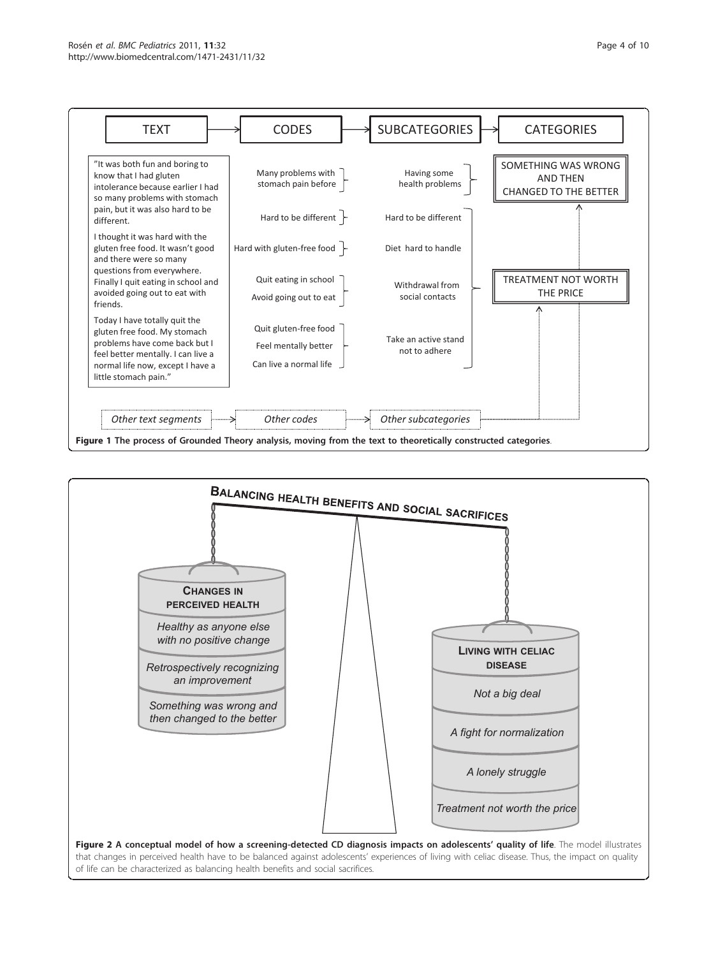<span id="page-3-0"></span>



that changes in perceived health have to be balanced against adolescents' experiences of living with celiac disease. Thus, the impact on quality of life can be characterized as balancing health benefits and social sacrifices.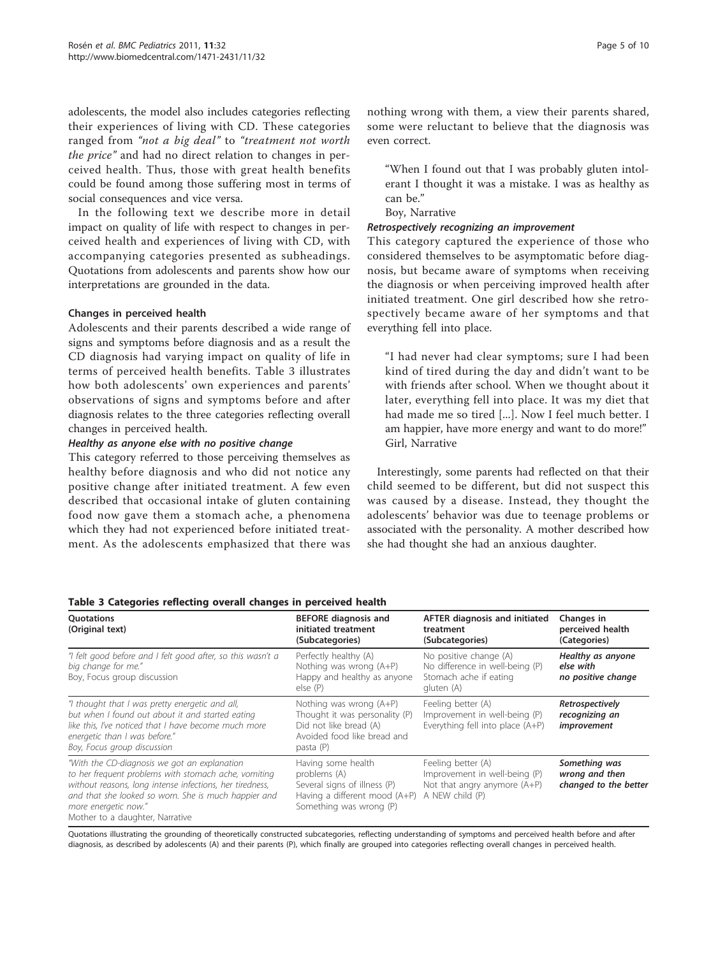adolescents, the model also includes categories reflecting their experiences of living with CD. These categories ranged from "not a big deal" to "treatment not worth the price" and had no direct relation to changes in perceived health. Thus, those with great health benefits could be found among those suffering most in terms of social consequences and vice versa.

In the following text we describe more in detail impact on quality of life with respect to changes in perceived health and experiences of living with CD, with accompanying categories presented as subheadings. Quotations from adolescents and parents show how our interpretations are grounded in the data.

#### Changes in perceived health

Adolescents and their parents described a wide range of signs and symptoms before diagnosis and as a result the CD diagnosis had varying impact on quality of life in terms of perceived health benefits. Table 3 illustrates how both adolescents' own experiences and parents' observations of signs and symptoms before and after diagnosis relates to the three categories reflecting overall changes in perceived health.

#### Healthy as anyone else with no positive change

This category referred to those perceiving themselves as healthy before diagnosis and who did not notice any positive change after initiated treatment. A few even described that occasional intake of gluten containing food now gave them a stomach ache, a phenomena which they had not experienced before initiated treatment. As the adolescents emphasized that there was

"When I found out that I was probably gluten intolerant I thought it was a mistake. I was as healthy as can be."

#### Boy, Narrative

#### Retrospectively recognizing an improvement

This category captured the experience of those who considered themselves to be asymptomatic before diagnosis, but became aware of symptoms when receiving the diagnosis or when perceiving improved health after initiated treatment. One girl described how she retrospectively became aware of her symptoms and that everything fell into place.

"I had never had clear symptoms; sure I had been kind of tired during the day and didn't want to be with friends after school. When we thought about it later, everything fell into place. It was my diet that had made me so tired [...]. Now I feel much better. I am happier, have more energy and want to do more!" Girl, Narrative

Interestingly, some parents had reflected on that their child seemed to be different, but did not suspect this was caused by a disease. Instead, they thought the adolescents' behavior was due to teenage problems or associated with the personality. A mother described how she had thought she had an anxious daughter.

#### Table 3 Categories reflecting overall changes in perceived health

| <b>Ouotations</b><br>(Original text)                                                                                                                                                                                                                                                 | <b>BEFORE diagnosis and</b><br>AFTER diagnosis and initiated<br>initiated treatment<br>treatment<br>(Subcategories)<br>(Subcategories) |                                                                                                          | Changes in<br>perceived health<br>(Categories)           |  |
|--------------------------------------------------------------------------------------------------------------------------------------------------------------------------------------------------------------------------------------------------------------------------------------|----------------------------------------------------------------------------------------------------------------------------------------|----------------------------------------------------------------------------------------------------------|----------------------------------------------------------|--|
| "I felt good before and I felt good after, so this wasn't a<br>big change for me."<br>Boy, Focus group discussion                                                                                                                                                                    | Perfectly healthy (A)<br>Nothing was wrong (A+P)<br>Happy and healthy as anyone<br>else (P)                                            | No positive change (A)<br>No difference in well-being (P)<br>Stomach ache if eating<br>gluten (A)        | Healthy as anyone<br>else with<br>no positive change     |  |
| "I thought that I was pretty energetic and all,<br>but when I found out about it and started eating<br>like this, I've noticed that I have become much more<br>energetic than I was before."<br>Boy, Focus group discussion                                                          | Nothing was wrong $(A+P)$<br>Thought it was personality (P)<br>Did not like bread (A)<br>Avoided food like bread and<br>pasta (P)      | Feeling better (A)<br>Improvement in well-being (P)<br>Everything fell into place $(A+P)$                | Retrospectively<br>recognizing an<br>improvement         |  |
| "With the CD-diagnosis we got an explanation"<br>to her frequent problems with stomach ache, vomiting<br>without reasons, long intense infections, her tiredness,<br>and that she looked so worn. She is much happier and<br>more energetic now."<br>Mother to a daughter, Narrative | Having some health<br>problems (A)<br>Several signs of illness (P)<br>Having a different mood (A+P)<br>Something was wrong (P)         | Feeling better (A)<br>Improvement in well-being (P)<br>Not that angry anymore $(A+P)$<br>A NEW child (P) | Something was<br>wrong and then<br>changed to the better |  |

Quotations illustrating the grounding of theoretically constructed subcategories, reflecting understanding of symptoms and perceived health before and after diagnosis, as described by adolescents (A) and their parents (P), which finally are grouped into categories reflecting overall changes in perceived health.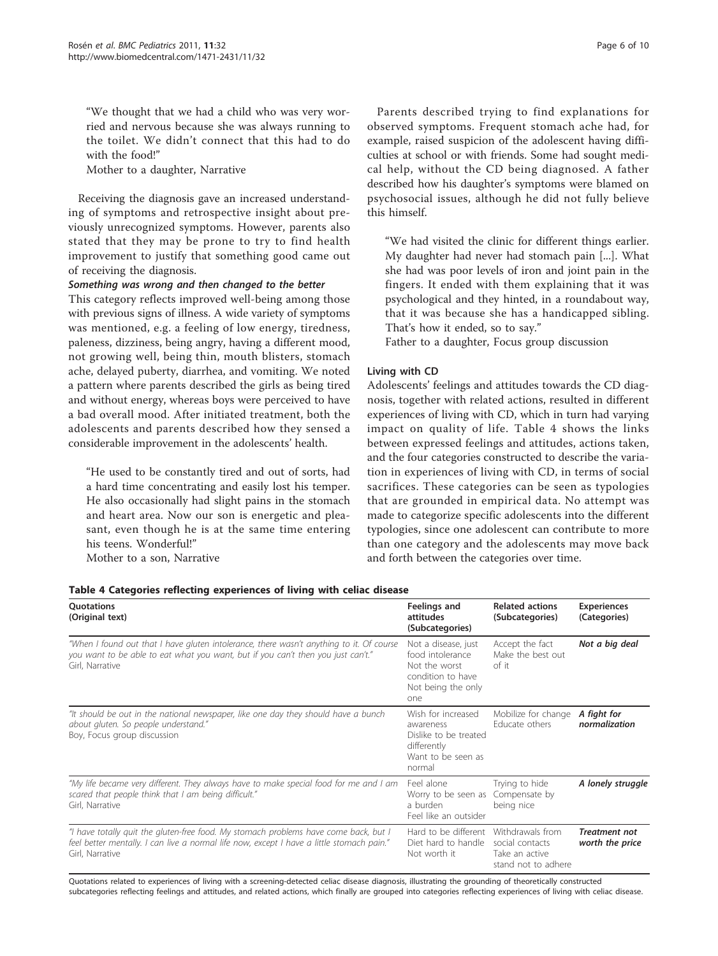"We thought that we had a child who was very worried and nervous because she was always running to the toilet. We didn't connect that this had to do with the food!"

Mother to a daughter, Narrative

Receiving the diagnosis gave an increased understanding of symptoms and retrospective insight about previously unrecognized symptoms. However, parents also stated that they may be prone to try to find health improvement to justify that something good came out of receiving the diagnosis.

#### Something was wrong and then changed to the better

This category reflects improved well-being among those with previous signs of illness. A wide variety of symptoms was mentioned, e.g. a feeling of low energy, tiredness, paleness, dizziness, being angry, having a different mood, not growing well, being thin, mouth blisters, stomach ache, delayed puberty, diarrhea, and vomiting. We noted a pattern where parents described the girls as being tired and without energy, whereas boys were perceived to have a bad overall mood. After initiated treatment, both the adolescents and parents described how they sensed a considerable improvement in the adolescents' health.

"He used to be constantly tired and out of sorts, had a hard time concentrating and easily lost his temper. He also occasionally had slight pains in the stomach and heart area. Now our son is energetic and pleasant, even though he is at the same time entering his teens. Wonderful!" Mother to a son, Narrative

Parents described trying to find explanations for observed symptoms. Frequent stomach ache had, for example, raised suspicion of the adolescent having difficulties at school or with friends. Some had sought medical help, without the CD being diagnosed. A father described how his daughter's symptoms were blamed on psychosocial issues, although he did not fully believe this himself.

"We had visited the clinic for different things earlier. My daughter had never had stomach pain [...]. What she had was poor levels of iron and joint pain in the fingers. It ended with them explaining that it was psychological and they hinted, in a roundabout way, that it was because she has a handicapped sibling. That's how it ended, so to say."

Father to a daughter, Focus group discussion

## Living with CD

Adolescents' feelings and attitudes towards the CD diagnosis, together with related actions, resulted in different experiences of living with CD, which in turn had varying impact on quality of life. Table 4 shows the links between expressed feelings and attitudes, actions taken, and the four categories constructed to describe the variation in experiences of living with CD, in terms of social sacrifices. These categories can be seen as typologies that are grounded in empirical data. No attempt was made to categorize specific adolescents into the different typologies, since one adolescent can contribute to more than one category and the adolescents may move back and forth between the categories over time.

| <b>Ouotations</b><br>(Original text)                                                                                                                                                                 | Feelings and<br>attitudes<br>(Subcategories)                                                               | <b>Related actions</b><br>(Subcategories)                                    | <b>Experiences</b><br>(Categories)      |  |
|------------------------------------------------------------------------------------------------------------------------------------------------------------------------------------------------------|------------------------------------------------------------------------------------------------------------|------------------------------------------------------------------------------|-----------------------------------------|--|
| "When I found out that I have gluten intolerance, there wasn't anything to it. Of course<br>you want to be able to eat what you want, but if you can't then you just can't."<br>Girl, Narrative      | Not a disease, just<br>food intolerance<br>Not the worst<br>condition to have<br>Not being the only<br>one | Accept the fact<br>Make the best out<br>of it                                | Not a big deal                          |  |
| "It should be out in the national newspaper, like one day they should have a bunch<br>about gluten. So people understand."<br>Boy, Focus group discussion                                            | Wish for increased<br>awareness<br>Dislike to be treated<br>differently<br>Want to be seen as<br>normal    | Mobilize for change<br>Educate others                                        | A fight for<br>normalization            |  |
| "My life became very different. They always have to make special food for me and I am<br>scared that people think that I am being difficult."<br>Girl, Narrative                                     | Feel alone<br>Worry to be seen as<br>a burden<br>Feel like an outsider                                     | Trying to hide<br>Compensate by<br>being nice                                | A lonely struggle                       |  |
| "I have totally quit the gluten-free food. My stomach problems have come back, but I<br>feel better mentally. I can live a normal life now, except I have a little stomach pain."<br>Girl, Narrative | Hard to be different<br>Diet hard to handle<br>Not worth it                                                | Withdrawals from<br>social contacts<br>Take an active<br>stand not to adhere | <b>Treatment not</b><br>worth the price |  |

#### Table 4 Categories reflecting experiences of living with celiac disease

Quotations related to experiences of living with a screening-detected celiac disease diagnosis, illustrating the grounding of theoretically constructed subcategories reflecting feelings and attitudes, and related actions, which finally are grouped into categories reflecting experiences of living with celiac disease.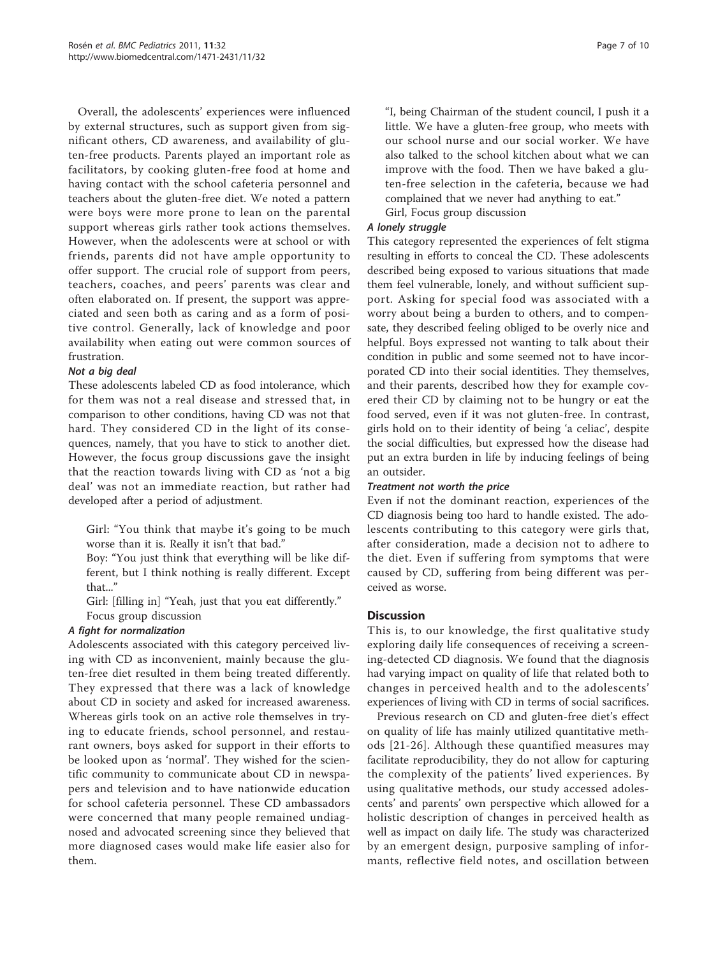Overall, the adolescents' experiences were influenced by external structures, such as support given from significant others, CD awareness, and availability of gluten-free products. Parents played an important role as facilitators, by cooking gluten-free food at home and having contact with the school cafeteria personnel and teachers about the gluten-free diet. We noted a pattern were boys were more prone to lean on the parental support whereas girls rather took actions themselves. However, when the adolescents were at school or with friends, parents did not have ample opportunity to offer support. The crucial role of support from peers, teachers, coaches, and peers' parents was clear and often elaborated on. If present, the support was appreciated and seen both as caring and as a form of positive control. Generally, lack of knowledge and poor availability when eating out were common sources of frustration.

## Not a big deal

These adolescents labeled CD as food intolerance, which for them was not a real disease and stressed that, in comparison to other conditions, having CD was not that hard. They considered CD in the light of its consequences, namely, that you have to stick to another diet. However, the focus group discussions gave the insight that the reaction towards living with CD as 'not a big deal' was not an immediate reaction, but rather had developed after a period of adjustment.

Girl: "You think that maybe it's going to be much worse than it is. Really it isn't that bad."

Boy: "You just think that everything will be like different, but I think nothing is really different. Except that..."

Girl: [filling in] "Yeah, just that you eat differently." Focus group discussion

#### A fight for normalization

Adolescents associated with this category perceived living with CD as inconvenient, mainly because the gluten-free diet resulted in them being treated differently. They expressed that there was a lack of knowledge about CD in society and asked for increased awareness. Whereas girls took on an active role themselves in trying to educate friends, school personnel, and restaurant owners, boys asked for support in their efforts to be looked upon as 'normal'. They wished for the scientific community to communicate about CD in newspapers and television and to have nationwide education for school cafeteria personnel. These CD ambassadors were concerned that many people remained undiagnosed and advocated screening since they believed that more diagnosed cases would make life easier also for them.

"I, being Chairman of the student council, I push it a little. We have a gluten-free group, who meets with our school nurse and our social worker. We have also talked to the school kitchen about what we can improve with the food. Then we have baked a gluten-free selection in the cafeteria, because we had complained that we never had anything to eat." Girl, Focus group discussion

A lonely struggle

This category represented the experiences of felt stigma resulting in efforts to conceal the CD. These adolescents described being exposed to various situations that made them feel vulnerable, lonely, and without sufficient support. Asking for special food was associated with a worry about being a burden to others, and to compensate, they described feeling obliged to be overly nice and helpful. Boys expressed not wanting to talk about their condition in public and some seemed not to have incorporated CD into their social identities. They themselves, and their parents, described how they for example covered their CD by claiming not to be hungry or eat the food served, even if it was not gluten-free. In contrast, girls hold on to their identity of being 'a celiac', despite the social difficulties, but expressed how the disease had put an extra burden in life by inducing feelings of being an outsider.

## Treatment not worth the price

Even if not the dominant reaction, experiences of the CD diagnosis being too hard to handle existed. The adolescents contributing to this category were girls that, after consideration, made a decision not to adhere to the diet. Even if suffering from symptoms that were caused by CD, suffering from being different was perceived as worse.

## **Discussion**

This is, to our knowledge, the first qualitative study exploring daily life consequences of receiving a screening-detected CD diagnosis. We found that the diagnosis had varying impact on quality of life that related both to changes in perceived health and to the adolescents' experiences of living with CD in terms of social sacrifices.

Previous research on CD and gluten-free diet's effect on quality of life has mainly utilized quantitative methods [[21-26](#page-8-0)]. Although these quantified measures may facilitate reproducibility, they do not allow for capturing the complexity of the patients' lived experiences. By using qualitative methods, our study accessed adolescents' and parents' own perspective which allowed for a holistic description of changes in perceived health as well as impact on daily life. The study was characterized by an emergent design, purposive sampling of informants, reflective field notes, and oscillation between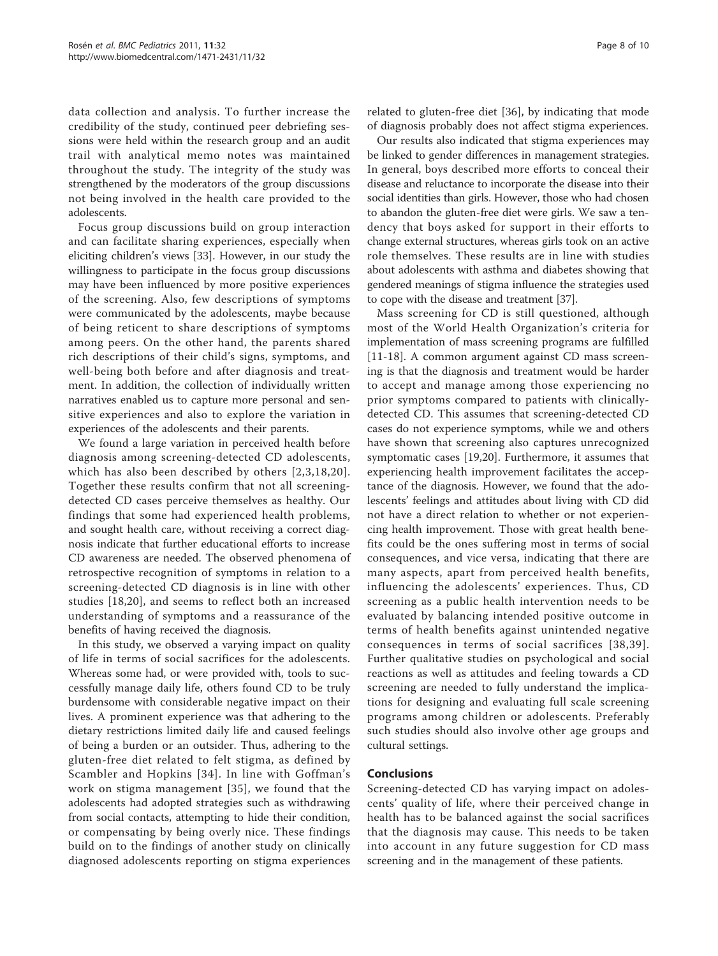data collection and analysis. To further increase the credibility of the study, continued peer debriefing sessions were held within the research group and an audit trail with analytical memo notes was maintained throughout the study. The integrity of the study was strengthened by the moderators of the group discussions not being involved in the health care provided to the adolescents.

Focus group discussions build on group interaction and can facilitate sharing experiences, especially when eliciting children's views [\[33](#page-8-0)]. However, in our study the willingness to participate in the focus group discussions may have been influenced by more positive experiences of the screening. Also, few descriptions of symptoms were communicated by the adolescents, maybe because of being reticent to share descriptions of symptoms among peers. On the other hand, the parents shared rich descriptions of their child's signs, symptoms, and well-being both before and after diagnosis and treatment. In addition, the collection of individually written narratives enabled us to capture more personal and sensitive experiences and also to explore the variation in experiences of the adolescents and their parents.

We found a large variation in perceived health before diagnosis among screening-detected CD adolescents, which has also been described by others [\[2,3,18,20\]](#page-8-0). Together these results confirm that not all screeningdetected CD cases perceive themselves as healthy. Our findings that some had experienced health problems, and sought health care, without receiving a correct diagnosis indicate that further educational efforts to increase CD awareness are needed. The observed phenomena of retrospective recognition of symptoms in relation to a screening-detected CD diagnosis is in line with other studies [[18,20](#page-8-0)], and seems to reflect both an increased understanding of symptoms and a reassurance of the benefits of having received the diagnosis.

In this study, we observed a varying impact on quality of life in terms of social sacrifices for the adolescents. Whereas some had, or were provided with, tools to successfully manage daily life, others found CD to be truly burdensome with considerable negative impact on their lives. A prominent experience was that adhering to the dietary restrictions limited daily life and caused feelings of being a burden or an outsider. Thus, adhering to the gluten-free diet related to felt stigma, as defined by Scambler and Hopkins [[34\]](#page-8-0). In line with Goffman's work on stigma management [[35](#page-8-0)], we found that the adolescents had adopted strategies such as withdrawing from social contacts, attempting to hide their condition, or compensating by being overly nice. These findings build on to the findings of another study on clinically diagnosed adolescents reporting on stigma experiences related to gluten-free diet [\[36](#page-8-0)], by indicating that mode of diagnosis probably does not affect stigma experiences.

Our results also indicated that stigma experiences may be linked to gender differences in management strategies. In general, boys described more efforts to conceal their disease and reluctance to incorporate the disease into their social identities than girls. However, those who had chosen to abandon the gluten-free diet were girls. We saw a tendency that boys asked for support in their efforts to change external structures, whereas girls took on an active role themselves. These results are in line with studies about adolescents with asthma and diabetes showing that gendered meanings of stigma influence the strategies used to cope with the disease and treatment [[37](#page-9-0)].

Mass screening for CD is still questioned, although most of the World Health Organization's criteria for implementation of mass screening programs are fulfilled [[11-18\]](#page-8-0). A common argument against CD mass screening is that the diagnosis and treatment would be harder to accept and manage among those experiencing no prior symptoms compared to patients with clinicallydetected CD. This assumes that screening-detected CD cases do not experience symptoms, while we and others have shown that screening also captures unrecognized symptomatic cases [\[19,20\]](#page-8-0). Furthermore, it assumes that experiencing health improvement facilitates the acceptance of the diagnosis. However, we found that the adolescents' feelings and attitudes about living with CD did not have a direct relation to whether or not experiencing health improvement. Those with great health benefits could be the ones suffering most in terms of social consequences, and vice versa, indicating that there are many aspects, apart from perceived health benefits, influencing the adolescents' experiences. Thus, CD screening as a public health intervention needs to be evaluated by balancing intended positive outcome in terms of health benefits against unintended negative consequences in terms of social sacrifices [[38](#page-9-0),[39\]](#page-9-0). Further qualitative studies on psychological and social reactions as well as attitudes and feeling towards a CD screening are needed to fully understand the implications for designing and evaluating full scale screening programs among children or adolescents. Preferably such studies should also involve other age groups and cultural settings.

#### Conclusions

Screening-detected CD has varying impact on adolescents' quality of life, where their perceived change in health has to be balanced against the social sacrifices that the diagnosis may cause. This needs to be taken into account in any future suggestion for CD mass screening and in the management of these patients.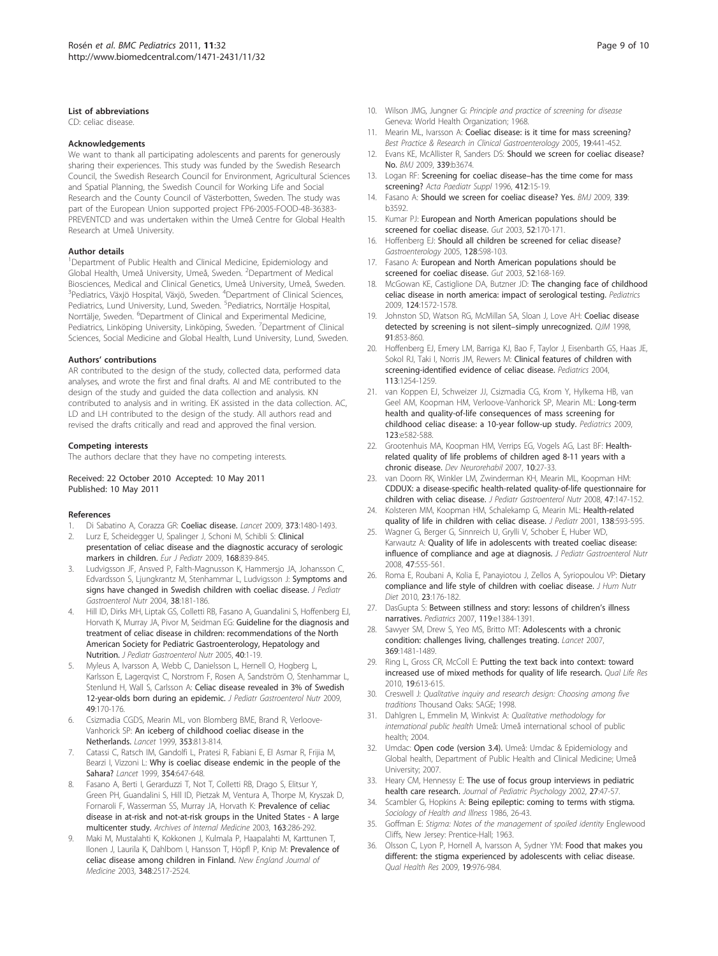#### <span id="page-8-0"></span>List of abbreviations

CD: celiac disease.

#### Acknowledgements

We want to thank all participating adolescents and parents for generously sharing their experiences. This study was funded by the Swedish Research Council, the Swedish Research Council for Environment, Agricultural Sciences and Spatial Planning, the Swedish Council for Working Life and Social Research and the County Council of Västerbotten, Sweden. The study was part of the European Union supported project FP6-2005-FOOD-4B-36383- PREVENTCD and was undertaken within the Umeå Centre for Global Health Research at Umeå University.

#### Author details

<sup>1</sup>Department of Public Health and Clinical Medicine, Epidemiology and Global Health, Umeå University, Umeå, Sweden. <sup>2</sup>Department of Medical Biosciences, Medical and Clinical Genetics, Umeå University, Umeå, Sweden. <sup>3</sup>Pediatrics, Växjö Hospital, Växjö, Sweden. <sup>4</sup>Department of Clinical Sciences, Pediatrics, Lund University, Lund, Sweden. <sup>5</sup>Pediatrics, Norrtälje Hospital, Norrtälje, Sweden. <sup>6</sup>Department of Clinical and Experimental Medicine, Pediatrics, Linköping University, Linköping, Sweden. <sup>7</sup>Department of Clinical Sciences, Social Medicine and Global Health, Lund University, Lund, Sweden.

#### Authors' contributions

AR contributed to the design of the study, collected data, performed data analyses, and wrote the first and final drafts. AI and ME contributed to the design of the study and guided the data collection and analysis. KN contributed to analysis and in writing. EK assisted in the data collection. AC, LD and LH contributed to the design of the study. All authors read and revised the drafts critically and read and approved the final version.

#### Competing interests

The authors declare that they have no competing interests.

#### Received: 22 October 2010 Accepted: 10 May 2011 Published: 10 May 2011

#### References

- 1. Di Sabatino A, Corazza GR: [Coeliac disease.](http://www.ncbi.nlm.nih.gov/pubmed/19394538?dopt=Abstract) Lancet 2009, 373:1480-1493.
- 2. Lurz E, Scheidegger U, Spalinger J, Schoni M, Schibli S: [Clinical](http://www.ncbi.nlm.nih.gov/pubmed/18923841?dopt=Abstract) [presentation of celiac disease and the diagnostic accuracy of serologic](http://www.ncbi.nlm.nih.gov/pubmed/18923841?dopt=Abstract) [markers in children.](http://www.ncbi.nlm.nih.gov/pubmed/18923841?dopt=Abstract) Eur J Pediatr 2009, 168:839-845.
- 3. Ludvigsson JF, Ansved P, Falth-Magnusson K, Hammersjo JA, Johansson C, Edvardsson S, Ljungkrantz M, Stenhammar L, Ludvigsson J: [Symptoms and](http://www.ncbi.nlm.nih.gov/pubmed/14734881?dopt=Abstract) [signs have changed in Swedish children with coeliac disease.](http://www.ncbi.nlm.nih.gov/pubmed/14734881?dopt=Abstract) J Pediatr Gastroenterol Nutr 2004, 38:181-186.
- 4. Hill ID, Dirks MH, Liptak GS, Colletti RB, Fasano A, Guandalini S, Hoffenberg EJ, Horvath K, Murray JA, Pivor M, Seidman EG: [Guideline for the diagnosis and](http://www.ncbi.nlm.nih.gov/pubmed/15625418?dopt=Abstract) [treatment of celiac disease in children: recommendations of the North](http://www.ncbi.nlm.nih.gov/pubmed/15625418?dopt=Abstract) [American Society for Pediatric Gastroenterology, Hepatology and](http://www.ncbi.nlm.nih.gov/pubmed/15625418?dopt=Abstract) [Nutrition.](http://www.ncbi.nlm.nih.gov/pubmed/15625418?dopt=Abstract) J Pediatr Gastroenterol Nutr 2005, 40:1-19.
- 5. Myleus A, Ivarsson A, Webb C, Danielsson L, Hernell O, Hogberg L, Karlsson E, Lagerqvist C, Norstrom F, Rosen A, Sandström O, Stenhammar L, Stenlund H, Wall S, Carlsson A: [Celiac disease revealed in 3% of Swedish](http://www.ncbi.nlm.nih.gov/pubmed/19516192?dopt=Abstract) [12-year-olds born during an epidemic.](http://www.ncbi.nlm.nih.gov/pubmed/19516192?dopt=Abstract) J Pediatr Gastroenterol Nutr 2009, 49:170-176.
- Csizmadia CGDS, Mearin ML, von Blomberg BME, Brand R, Verloove-Vanhorick SP: [An iceberg of childhood coeliac disease in the](http://www.ncbi.nlm.nih.gov/pubmed/10459972?dopt=Abstract) [Netherlands.](http://www.ncbi.nlm.nih.gov/pubmed/10459972?dopt=Abstract) Lancet 1999, 353:813-814.
- 7. Catassi C, Ratsch IM, Gandolfi L, Pratesi R, Fabiani E, El Asmar R, Frijia M, Bearzi I, Vizzoni L: [Why is coeliac disease endemic in the people of the](http://www.ncbi.nlm.nih.gov/pubmed/10466670?dopt=Abstract) [Sahara?](http://www.ncbi.nlm.nih.gov/pubmed/10466670?dopt=Abstract) Lancet 1999, 354:647-648.
- Fasano A, Berti I, Gerarduzzi T, Not T, Colletti RB, Drago S, Elitsur Y, Green PH, Guandalini S, Hill ID, Pietzak M, Ventura A, Thorpe M, Kryszak D, Fornaroli F, Wasserman SS, Murray JA, Horvath K: [Prevalence of celiac](http://www.ncbi.nlm.nih.gov/pubmed/12578508?dopt=Abstract) [disease in at-risk and not-at-risk groups in the United States - A large](http://www.ncbi.nlm.nih.gov/pubmed/12578508?dopt=Abstract) [multicenter study.](http://www.ncbi.nlm.nih.gov/pubmed/12578508?dopt=Abstract) Archives of Internal Medicine 2003, 163:286-292.
- 9. Maki M, Mustalahti K, Kokkonen J, Kulmala P, Haapalahti M, Karttunen T, Ilonen J, Laurila K, Dahlbom I, Hansson T, Höpfl P, Knip M: [Prevalence of](http://www.ncbi.nlm.nih.gov/pubmed/12815137?dopt=Abstract) [celiac disease among children in Finland.](http://www.ncbi.nlm.nih.gov/pubmed/12815137?dopt=Abstract) New England Journal of Medicine 2003, 348:2517-2524.
- 11. Mearin ML, Ivarsson A: [Coeliac disease: is it time for mass screening?](http://www.ncbi.nlm.nih.gov/pubmed/21559987?dopt=Abstract) Best Practice & Research in Clinical Gastroenterology 2005, 19:441-452.
- 12. Evans KE, McAllister R, Sanders DS: [Should we screen for coeliac disease?](http://www.ncbi.nlm.nih.gov/pubmed/19762414?dopt=Abstract) [No.](http://www.ncbi.nlm.nih.gov/pubmed/19762414?dopt=Abstract) BMJ 2009, 339:b3674.
- 13. Logan RF: [Screening for coeliac disease](http://www.ncbi.nlm.nih.gov/pubmed/8783749?dopt=Abstract)-has the time come for mass [screening?](http://www.ncbi.nlm.nih.gov/pubmed/8783749?dopt=Abstract) Acta Paediatr Suppl 1996, 412:15-19.
- 14. Fasano A: [Should we screen for coeliac disease? Yes.](http://www.ncbi.nlm.nih.gov/pubmed/19762413?dopt=Abstract) BMJ 2009, 339: b3592.
- 15. Kumar PJ: [European and North American populations should be](http://www.ncbi.nlm.nih.gov/pubmed/12524394?dopt=Abstract) [screened for coeliac disease.](http://www.ncbi.nlm.nih.gov/pubmed/12524394?dopt=Abstract) Gut 2003, 52:170-171.
- 16. Hoffenberg EJ: [Should all children be screened for celiac disease?](http://www.ncbi.nlm.nih.gov/pubmed/15825134?dopt=Abstract) Gastroenterology 2005, 128:S98-103.
- 17. Fasano A: [European and North American populations should be](http://www.ncbi.nlm.nih.gov/pubmed/12524393?dopt=Abstract) [screened for coeliac disease.](http://www.ncbi.nlm.nih.gov/pubmed/12524393?dopt=Abstract) Gut 2003, 52:168-169.
- 18. McGowan KE, Castiglione DA, Butzner JD: [The changing face of childhood](http://www.ncbi.nlm.nih.gov/pubmed/19948628?dopt=Abstract) [celiac disease in north america: impact of serological testing.](http://www.ncbi.nlm.nih.gov/pubmed/19948628?dopt=Abstract) Pediatrics 2009, 124:1572-1578.
- 19. Johnston SD, Watson RG, McMillan SA, Sloan J, Love AH: [Coeliac disease](http://www.ncbi.nlm.nih.gov/pubmed/10024951?dopt=Abstract) [detected by screening is not silent](http://www.ncbi.nlm.nih.gov/pubmed/10024951?dopt=Abstract)-simply unrecognized. QJM 1998, 91:853-860.
- 20. Hoffenberg EJ, Emery LM, Barriga KJ, Bao F, Taylor J, Eisenbarth GS, Haas JE, Sokol RJ, Taki I, Norris JM, Rewers M: [Clinical features of children with](http://www.ncbi.nlm.nih.gov/pubmed/15121938?dopt=Abstract) [screening-identified evidence of celiac disease.](http://www.ncbi.nlm.nih.gov/pubmed/15121938?dopt=Abstract) Pediatrics 2004, 113:1254-1259.
- 21. van Koppen EJ, Schweizer JJ, Csizmadia CG, Krom Y, Hylkema HB, van Geel AM, Koopman HM, Verloove-Vanhorick SP, Mearin ML: [Long-term](http://www.ncbi.nlm.nih.gov/pubmed/19336349?dopt=Abstract) [health and quality-of-life consequences of mass screening for](http://www.ncbi.nlm.nih.gov/pubmed/19336349?dopt=Abstract) [childhood celiac disease: a 10-year follow-up study.](http://www.ncbi.nlm.nih.gov/pubmed/19336349?dopt=Abstract) Pediatrics 2009, 123:e582-588.
- 22. Grootenhuis MA, Koopman HM, Verrips EG, Vogels AG, Last BF: [Health](http://www.ncbi.nlm.nih.gov/pubmed/17608324?dopt=Abstract)[related quality of life problems of children aged 8-11 years with a](http://www.ncbi.nlm.nih.gov/pubmed/17608324?dopt=Abstract) [chronic disease.](http://www.ncbi.nlm.nih.gov/pubmed/17608324?dopt=Abstract) Dev Neurorehabil 2007, 10:27-33.
- 23. van Doorn RK, Winkler LM, Zwinderman KH, Mearin ML, Koopman HM: [CDDUX: a disease-specific health-related quality-of-life questionnaire for](http://www.ncbi.nlm.nih.gov/pubmed/18664865?dopt=Abstract) [children with celiac disease.](http://www.ncbi.nlm.nih.gov/pubmed/18664865?dopt=Abstract) J Pediatr Gastroenterol Nutr 2008, 47:147-152.
- 24. Kolsteren MM, Koopman HM, Schalekamp G, Mearin ML: [Health-related](http://www.ncbi.nlm.nih.gov/pubmed/11295729?dopt=Abstract) [quality of life in children with celiac disease.](http://www.ncbi.nlm.nih.gov/pubmed/11295729?dopt=Abstract) J Pediatr 2001, 138:593-595.
- 25. Wagner G, Berger G, Sinnreich U, Grylli V, Schober E, Huber WD, Karwautz A: [Quality of life in adolescents with treated coeliac disease:](http://www.ncbi.nlm.nih.gov/pubmed/18955861?dopt=Abstract) [influence of compliance and age at diagnosis.](http://www.ncbi.nlm.nih.gov/pubmed/18955861?dopt=Abstract) J Pediatr Gastroenterol Nutr 2008, 47:555-561.
- 26. Roma E, Roubani A, Kolia E, Panayiotou J, Zellos A, Syriopoulou VP: [Dietary](http://www.ncbi.nlm.nih.gov/pubmed/20163513?dopt=Abstract) [compliance and life style of children with coeliac disease.](http://www.ncbi.nlm.nih.gov/pubmed/20163513?dopt=Abstract) J Hum Nutr Diet 2010, 23:176-182.
- 27. DasGupta S: [Between stillness and story: lessons of children](http://www.ncbi.nlm.nih.gov/pubmed/17545365?dopt=Abstract)'s illness [narratives.](http://www.ncbi.nlm.nih.gov/pubmed/17545365?dopt=Abstract) Pediatrics 2007, 119:e1384-1391.
- 28. Sawyer SM, Drew S, Yeo MS, Britto MT: Adolescents [with a chronic](http://www.ncbi.nlm.nih.gov/pubmed/17467519?dopt=Abstract) [condition: challenges living, challenges treating.](http://www.ncbi.nlm.nih.gov/pubmed/17467519?dopt=Abstract) Lancet 2007, 369:1481-1489.
- 29. Ring L, Gross CR, McColl E: [Putting the text back into context: toward](http://www.ncbi.nlm.nih.gov/pubmed/20422295?dopt=Abstract) [increased use of mixed methods for quality of life research.](http://www.ncbi.nlm.nih.gov/pubmed/20422295?dopt=Abstract) Qual Life Res 2010, 19:613-615.
- 30. Creswell J: Qualitative inquiry and research design: Choosing among five traditions Thousand Oaks: SAGE; 1998.
- 31. Dahlgren L, Emmelin M, Winkvist A: Qualitative methodology for international public health Umeå: Umeå international school of public health; 2004.
- 32. Umdac: Open code (version 3.4). Umeå: Umdac & Epidemiology and Global health, Department of Public Health and Clinical Medicine; Umeå University; 2007.
- 33. Heary CM, Hennessy E: [The use of focus group interviews in pediatric](http://www.ncbi.nlm.nih.gov/pubmed/11726679?dopt=Abstract) [health care research.](http://www.ncbi.nlm.nih.gov/pubmed/11726679?dopt=Abstract) Journal of Pediatric Psychology 2002, 27:47-57.
- 34. Scambler G, Hopkins A: Being epileptic: coming to terms with stigma. Sociology of Health and Illness 1986, 26-43.
- 35. Goffman E: Stigma: Notes of the management of spoiled identity Englewood Cliffs, New Jersey: Prentice-Hall; 1963.
- 36. Olsson C, Lyon P, Hornell A, Ivarsson A, Sydner YM: [Food that makes you](http://www.ncbi.nlm.nih.gov/pubmed/19556403?dopt=Abstract) [different: the stigma experienced by adolescents with celiac disease.](http://www.ncbi.nlm.nih.gov/pubmed/19556403?dopt=Abstract) Qual Health Res 2009, 19:976-984.